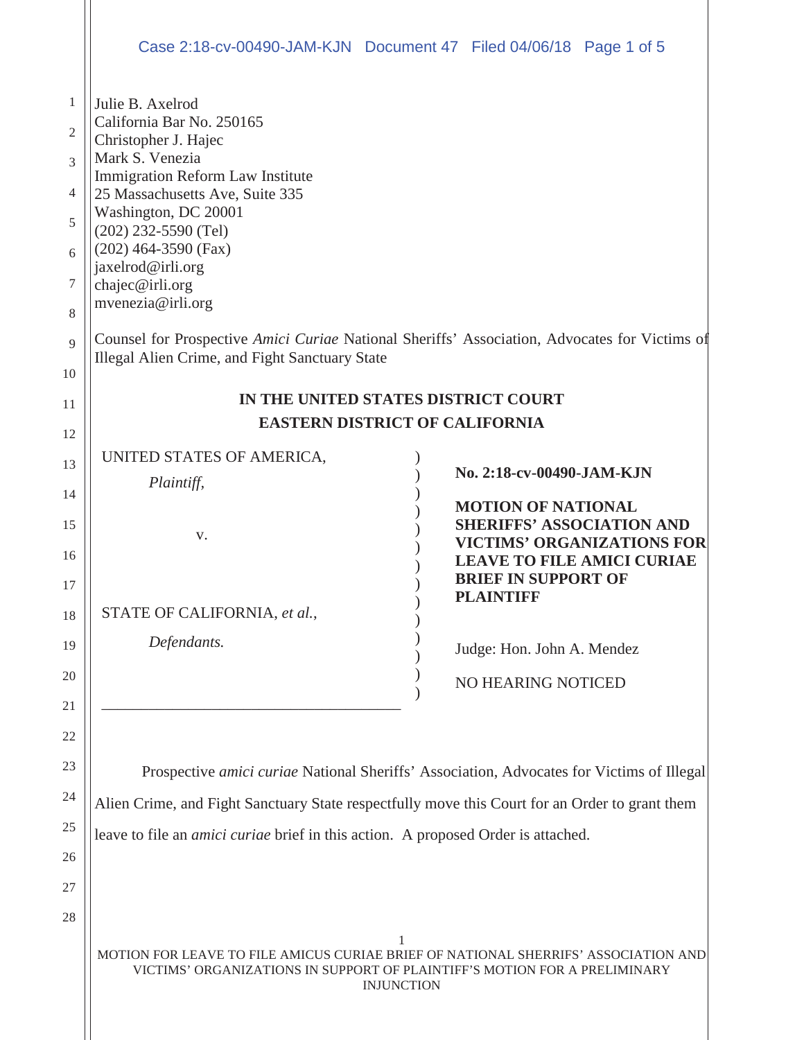|    | Case 2:18-cv-00490-JAM-KJN  Document 47  Filed 04/06/18  Page 1 of 5                                                                                                                 |  |                            |                                                                        |  |  |
|----|--------------------------------------------------------------------------------------------------------------------------------------------------------------------------------------|--|----------------------------|------------------------------------------------------------------------|--|--|
| 1  | Julie B. Axelrod                                                                                                                                                                     |  |                            |                                                                        |  |  |
| 2  | California Bar No. 250165<br>Christopher J. Hajec                                                                                                                                    |  |                            |                                                                        |  |  |
| 3  | Mark S. Venezia<br>Immigration Reform Law Institute                                                                                                                                  |  |                            |                                                                        |  |  |
| 4  | 25 Massachusetts Ave, Suite 335                                                                                                                                                      |  |                            |                                                                        |  |  |
| 5  | Washington, DC 20001<br>$(202)$ 232-5590 (Tel)                                                                                                                                       |  |                            |                                                                        |  |  |
| 6  | $(202)$ 464-3590 (Fax)<br>jaxelrod@irli.org                                                                                                                                          |  |                            |                                                                        |  |  |
| 7  | chajec@irli.org                                                                                                                                                                      |  |                            |                                                                        |  |  |
| 8  | mvenezia@irli.org                                                                                                                                                                    |  |                            |                                                                        |  |  |
| 9  | Counsel for Prospective Amici Curiae National Sheriffs' Association, Advocates for Victims of                                                                                        |  |                            |                                                                        |  |  |
| 10 | Illegal Alien Crime, and Fight Sanctuary State                                                                                                                                       |  |                            |                                                                        |  |  |
| 11 | IN THE UNITED STATES DISTRICT COURT                                                                                                                                                  |  |                            |                                                                        |  |  |
| 12 | <b>EASTERN DISTRICT OF CALIFORNIA</b>                                                                                                                                                |  |                            |                                                                        |  |  |
| 13 | UNITED STATES OF AMERICA,                                                                                                                                                            |  | No. 2:18-cv-00490-JAM-KJN  |                                                                        |  |  |
| 14 | Plaintiff,                                                                                                                                                                           |  |                            |                                                                        |  |  |
| 15 | V.                                                                                                                                                                                   |  | <b>MOTION OF NATIONAL</b>  | <b>SHERIFFS' ASSOCIATION AND</b>                                       |  |  |
| 16 |                                                                                                                                                                                      |  |                            | <b>VICTIMS' ORGANIZATIONS FOR</b><br><b>LEAVE TO FILE AMICI CURIAE</b> |  |  |
| 17 |                                                                                                                                                                                      |  | <b>BRIEF IN SUPPORT OF</b> |                                                                        |  |  |
| 18 | STATE OF CALIFORNIA, et al.,                                                                                                                                                         |  | <b>PLAINTIFF</b>           |                                                                        |  |  |
| 19 | Defendants.                                                                                                                                                                          |  | Judge: Hon. John A. Mendez |                                                                        |  |  |
| 20 |                                                                                                                                                                                      |  | NO HEARING NOTICED         |                                                                        |  |  |
| 21 |                                                                                                                                                                                      |  |                            |                                                                        |  |  |
| 22 |                                                                                                                                                                                      |  |                            |                                                                        |  |  |
| 23 |                                                                                                                                                                                      |  |                            |                                                                        |  |  |
| 24 | Prospective amici curiae National Sheriffs' Association, Advocates for Victims of Illegal                                                                                            |  |                            |                                                                        |  |  |
| 25 | Alien Crime, and Fight Sanctuary State respectfully move this Court for an Order to grant them                                                                                       |  |                            |                                                                        |  |  |
| 26 | leave to file an <i>amici curiae</i> brief in this action. A proposed Order is attached.                                                                                             |  |                            |                                                                        |  |  |
| 27 |                                                                                                                                                                                      |  |                            |                                                                        |  |  |
| 28 |                                                                                                                                                                                      |  |                            |                                                                        |  |  |
|    | MOTION FOR LEAVE TO FILE AMICUS CURIAE BRIEF OF NATIONAL SHERRIFS' ASSOCIATION AND<br>VICTIMS' ORGANIZATIONS IN SUPPORT OF PLAINTIFF'S MOTION FOR A PRELIMINARY<br><b>INJUNCTION</b> |  |                            |                                                                        |  |  |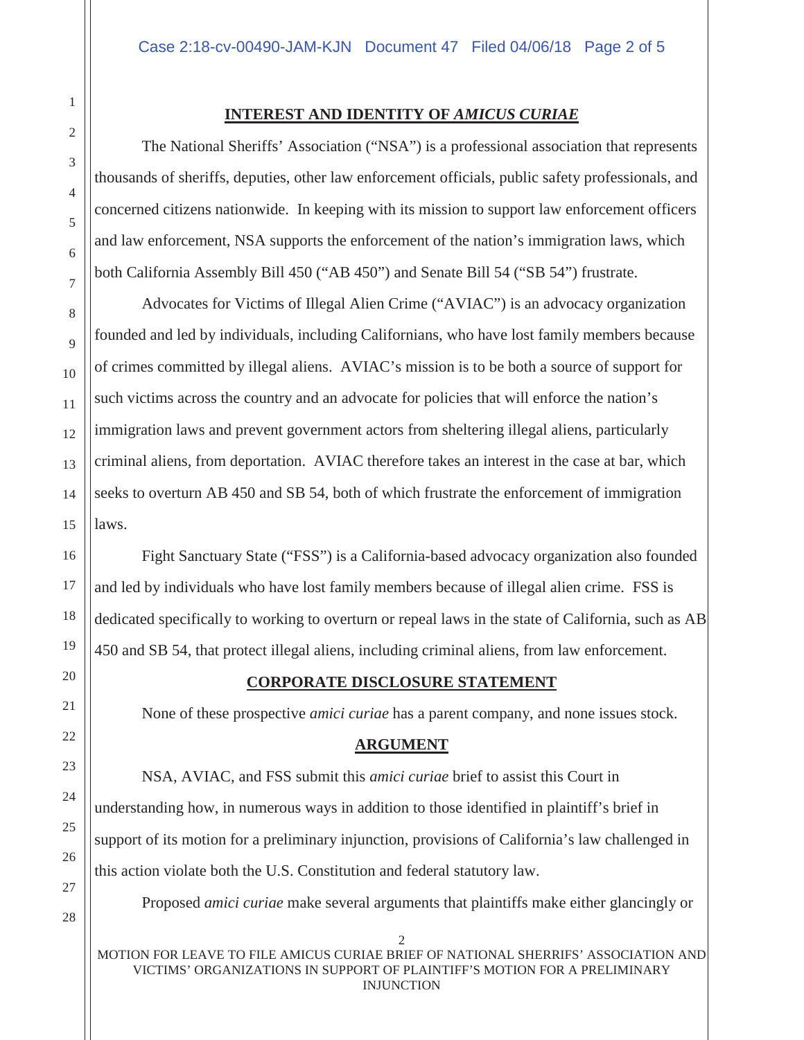#### **INTEREST AND IDENTITY OF** *AMICUS CURIAE*

The National Sheriffs' Association ("NSA") is a professional association that represents thousands of sheriffs, deputies, other law enforcement officials, public safety professionals, and concerned citizens nationwide. In keeping with its mission to support law enforcement officers and law enforcement, NSA supports the enforcement of the nation's immigration laws, which both California Assembly Bill 450 ("AB 450") and Senate Bill 54 ("SB 54") frustrate.

Advocates for Victims of Illegal Alien Crime ("AVIAC") is an advocacy organization founded and led by individuals, including Californians, who have lost family members because of crimes committed by illegal aliens. AVIAC's mission is to be both a source of support for such victims across the country and an advocate for policies that will enforce the nation's immigration laws and prevent government actors from sheltering illegal aliens, particularly criminal aliens, from deportation. AVIAC therefore takes an interest in the case at bar, which seeks to overturn AB 450 and SB 54, both of which frustrate the enforcement of immigration laws.

Fight Sanctuary State ("FSS") is a California-based advocacy organization also founded and led by individuals who have lost family members because of illegal alien crime. FSS is dedicated specifically to working to overturn or repeal laws in the state of California, such as AB 450 and SB 54, that protect illegal aliens, including criminal aliens, from law enforcement.

## **CORPORATE DISCLOSURE STATEMENT**

None of these prospective *amici curiae* has a parent company, and none issues stock.

# **ARGUMENT**

NSA, AVIAC, and FSS submit this *amici curiae* brief to assist this Court in understanding how, in numerous ways in addition to those identified in plaintiff's brief in support of its motion for a preliminary injunction, provisions of California's law challenged in this action violate both the U.S. Constitution and federal statutory law.

Proposed *amici curiae* make several arguments that plaintiffs make either glancingly or

2 MOTION FOR LEAVE TO FILE AMICUS CURIAE BRIEF OF NATIONAL SHERRIFS' ASSOCIATION AND VICTIMS' ORGANIZATIONS IN SUPPORT OF PLAINTIFF'S MOTION FOR A PRELIMINARY INJUNCTION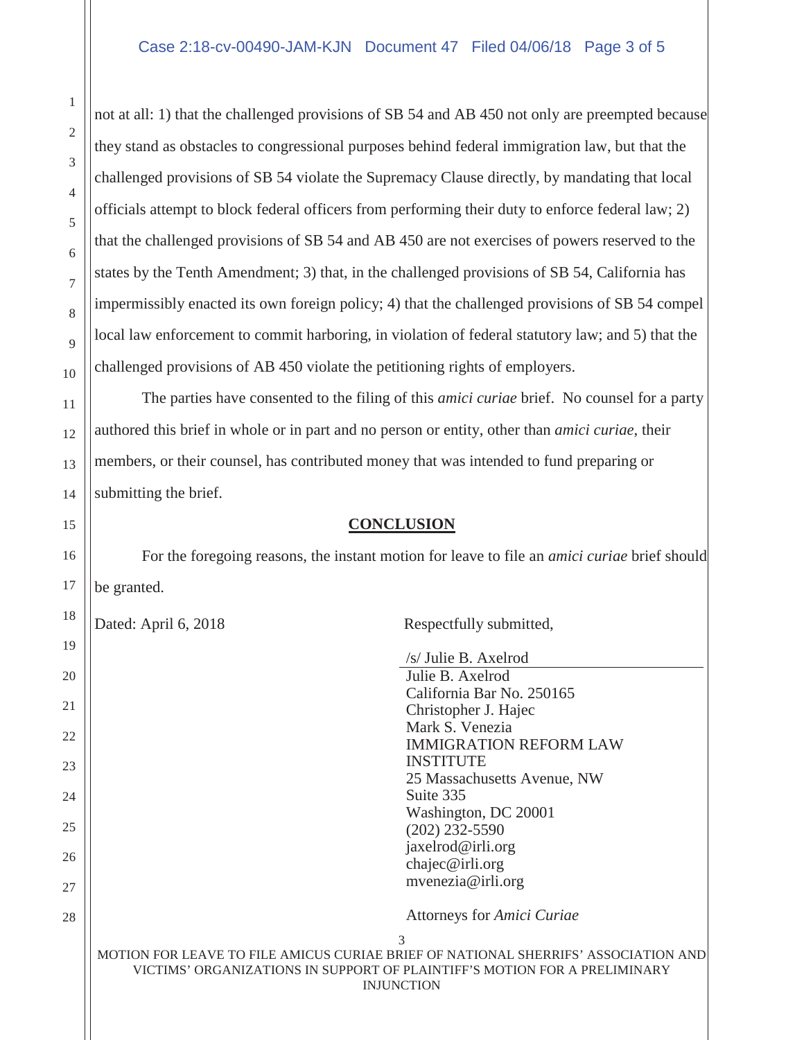1

2

3

4

5

6

7

8

9

10

11

12

13

14

15

16

17

not at all: 1) that the challenged provisions of SB 54 and AB 450 not only are preempted because they stand as obstacles to congressional purposes behind federal immigration law, but that the challenged provisions of SB 54 violate the Supremacy Clause directly, by mandating that local officials attempt to block federal officers from performing their duty to enforce federal law; 2) that the challenged provisions of SB 54 and AB 450 are not exercises of powers reserved to the states by the Tenth Amendment; 3) that, in the challenged provisions of SB 54, California has impermissibly enacted its own foreign policy; 4) that the challenged provisions of SB 54 compel local law enforcement to commit harboring, in violation of federal statutory law; and 5) that the challenged provisions of AB 450 violate the petitioning rights of employers.

The parties have consented to the filing of this *amici curiae* brief. No counsel for a party authored this brief in whole or in part and no person or entity, other than *amici curiae*, their members, or their counsel, has contributed money that was intended to fund preparing or submitting the brief.

## **CONCLUSION**

For the foregoing reasons, the instant motion for leave to file an *amici curiae* brief should be granted.

| 18 | Dated: April 6, 2018                                                                                                                                                                      | Respectfully submitted,                           |
|----|-------------------------------------------------------------------------------------------------------------------------------------------------------------------------------------------|---------------------------------------------------|
| 19 |                                                                                                                                                                                           | /s/ Julie B. Axelrod                              |
| 20 |                                                                                                                                                                                           | Julie B. Axelrod                                  |
| 21 |                                                                                                                                                                                           | California Bar No. 250165<br>Christopher J. Hajec |
| 22 |                                                                                                                                                                                           | Mark S. Venezia                                   |
|    | <b>INSTITUTE</b>                                                                                                                                                                          | <b>IMMIGRATION REFORM LAW</b>                     |
| 23 |                                                                                                                                                                                           | 25 Massachusetts Avenue, NW                       |
| 24 | Suite 335                                                                                                                                                                                 |                                                   |
| 25 |                                                                                                                                                                                           | Washington, DC 20001<br>$(202)$ 232-5590          |
| 26 |                                                                                                                                                                                           | jaxelrod@irli.org                                 |
|    | chajec@irli.org                                                                                                                                                                           | mvenezia@irli.org                                 |
| 27 |                                                                                                                                                                                           |                                                   |
| 28 |                                                                                                                                                                                           | Attorneys for Amici Curiae                        |
|    | 3<br>MOTION FOR LEAVE TO FILE AMICUS CURIAE BRIEF OF NATIONAL SHERRIFS' ASSOCIATION AND<br>VICTIMS' ORGANIZATIONS IN SUPPORT OF PLAINTIFF'S MOTION FOR A PRELIMINARY<br><b>INJUNCTION</b> |                                                   |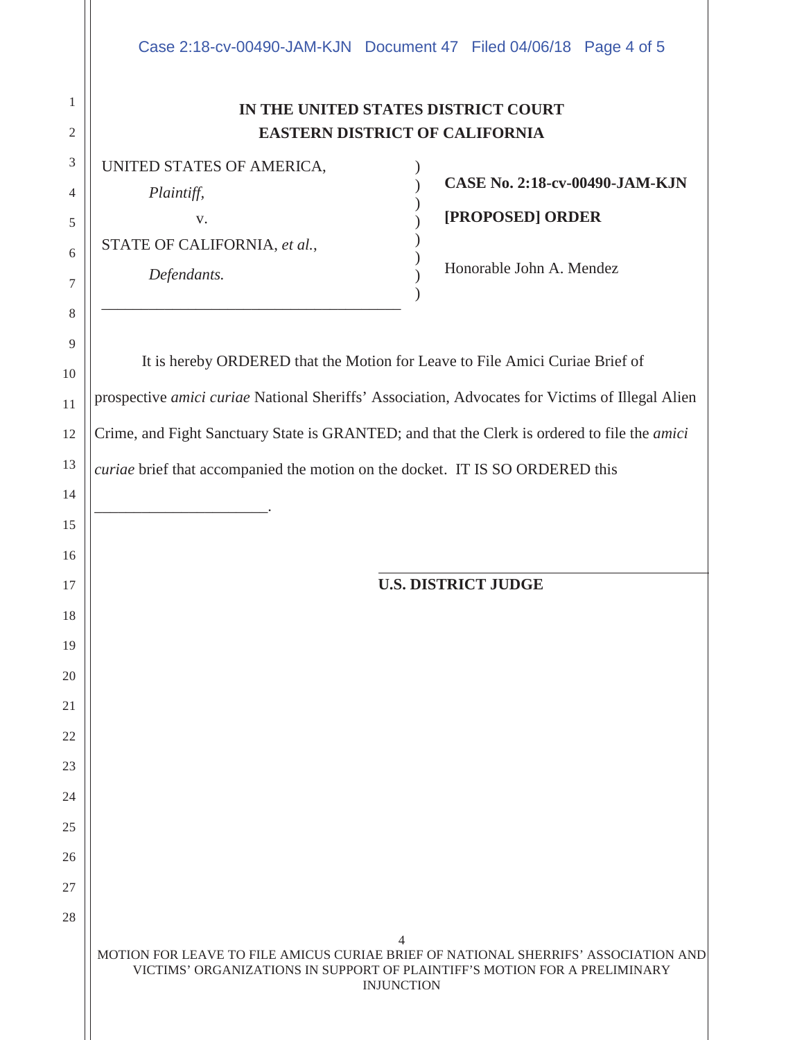#### Case 2:18-cv-00490-JAM-KJN Document 47 Filed 04/06/18 Page 4 of 5

| IN THE UNITED STATES DISTRICT COURT   |
|---------------------------------------|
| <b>EASTERN DISTRICT OF CALIFORNIA</b> |

)  $\lambda$ )  $\overline{)}$ ) ) ) )

UNITED STATES OF AMERICA, *Plaintiff,* 

STATE OF CALIFORNIA, *et al.*,

\_\_\_\_\_\_\_\_\_\_\_\_\_\_\_\_\_\_\_\_\_\_\_\_\_\_\_\_\_\_\_\_\_\_\_\_\_\_

v.

*Defendants.* 

1

2

3

4

5

6

7

8

**CASE No. 2:18-cv-00490-JAM-KJN [PROPOSED] ORDER**

Honorable John A. Mendez

9 10 11 12 13 14 15 16 17 18 19 20 21 22 23 24 25 26 27 28  $\Delta$ MOTION FOR LEAVE TO FILE AMICUS CURIAE BRIEF OF NATIONAL SHERRIFS' ASSOCIATION AND VICTIMS' ORGANIZATIONS IN SUPPORT OF PLAINTIFF'S MOTION FOR A PRELIMINARY **INJUNCTION** It is hereby ORDERED that the Motion for Leave to File Amici Curiae Brief of prospective *amici curiae* National Sheriffs' Association, Advocates for Victims of Illegal Alien Crime, and Fight Sanctuary State is GRANTED; and that the Clerk is ordered to file the *amici curiae* brief that accompanied the motion on the docket. IT IS SO ORDERED this \_\_\_\_\_\_\_\_\_\_\_\_\_\_\_\_\_\_\_\_\_\_.  $\overline{a}$ **U.S. DISTRICT JUDGE**